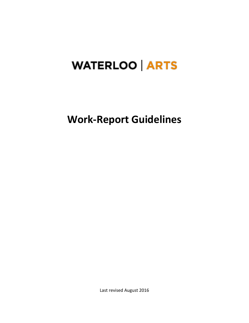# **WATERLOO ARTS**

**Work-Report Guidelines**

Last revised August 2016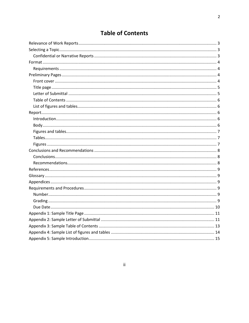# **Table of Contents**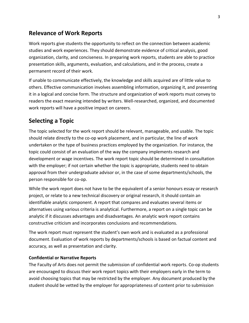### <span id="page-2-0"></span>**Relevance of Work Reports**

Work reports give students the opportunity to reflect on the connection between academic studies and work experiences. They should demonstrate evidence of critical analysis, good organization, clarity, and conciseness. In preparing work reports, students are able to practice presentation skills, arguments, evaluation, and calculations, and in the process, create a permanent record of their work.

If unable to communicate effectively, the knowledge and skills acquired are of little value to others. Effective communication involves assembling information, organizing it, and presenting it in a logical and concise form. The structure and organization of work reports must convey to readers the exact meaning intended by writers. Well-researched, organized, and documented work reports will have a positive impact on careers.

### <span id="page-2-1"></span>**Selecting a Topic**

The topic selected for the work report should be relevant, manageable, and usable. The topic should relate directly to the co-op work placement, and in particular, the line of work undertaken or the type of business practices employed by the organization. For instance, the topic could consist of an evaluation of the way the company implements research and development or wage incentives. The work report topic should be determined in consultation with the employer; if not certain whether the topic is appropriate, students need to obtain approval from their undergraduate advisor or, in the case of some departments/schools, the person responsible for co-op.

While the work report does not have to be the equivalent of a senior honours essay or research project, or relate to a new technical discovery or original research, it should contain an identifiable analytic component. A report that compares and evaluates several items or alternatives using various criteria is analytical. Furthermore, a report on a single topic can be analytic if it discusses advantages and disadvantages. An analytic work report contains constructive criticism and incorporates conclusions and recommendations.

The work report must represent the student's own work and is evaluated as a professional document. Evaluation of work reports by departments/schools is based on factual content and accuracy, as well as presentation and clarity.

#### <span id="page-2-2"></span>**Confidential or Narrative Reports**

The Faculty of Arts does not permit the submission of confidential work reports. Co-op students are encouraged to discuss their work report topics with their employers early in the term to avoid choosing topics that may be restricted by the employer. Any document produced by the student should be vetted by the employer for appropriateness of content prior to submission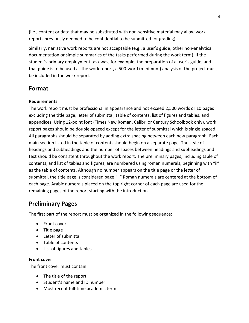(i.e., content or data that may be substituted with non-sensitive material may allow work reports previously deemed to be confidential to be submitted for grading).

Similarly, narrative work reports are not acceptable (e.g., a user's guide, other non-analytical documentation or simple summaries of the tasks performed during the work term). If the student's primary employment task was, for example, the preparation of a user's guide, and that guide is to be used as the work report, a 500-word (minimum) analysis of the project must be included in the work report.

# <span id="page-3-0"></span>**Format**

#### <span id="page-3-1"></span>**Requirements**

The work report must be professional in appearance and not exceed 2,500 words or 10 pages excluding the title page, letter of submittal, table of contents, list of figures and tables, and appendices. Using 12-point font (Times New Roman, Calibri or Century Schoolbook only), work report pages should be double-spaced except for the letter of submittal which is single spaced. All paragraphs should be separated by adding extra spacing between each new paragraph. Each main section listed in the table of contents should begin on a separate page. The style of headings and subheadings and the number of spaces between headings and subheadings and text should be consistent throughout the work report. The preliminary pages, including table of contents, and list of tables and figures, are numbered using roman numerals, beginning with "ii" as the table of contents. Although no number appears on the title page or the letter of submittal, the title page is considered page "i." Roman numerals are centered at the bottom of each page. Arabic numerals placed on the top right corner of each page are used for the remaining pages of the report starting with the introduction.

# <span id="page-3-2"></span>**Preliminary Pages**

The first part of the report must be organized in the following sequence:

- Front cover
- Title page
- Letter of submittal
- Table of contents
- List of figures and tables

#### <span id="page-3-3"></span>**Front cover**

The front cover must contain:

- The title of the report
- Student's name and ID number
- Most recent full-time academic term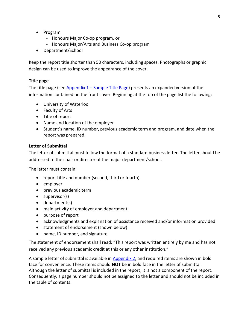- Program
	- Honours Major Co-op program, or
	- Honours Major/Arts and Business Co-op program
- Department/School

Keep the report title shorter than 50 characters, including spaces. Photographs or graphic design can be used to improve the appearance of the cover.

#### <span id="page-4-0"></span>**Title page**

The title page (see Appendix  $1 -$  [Sample Title Page\)](#page-10-0) presents an expanded version of the information contained on the front cover. Beginning at the top of the page list the following:

- University of Waterloo
- Faculty of Arts
- Title of report
- Name and location of the employer
- Student's name, ID number, previous academic term and program, and date when the report was prepared.

#### <span id="page-4-1"></span>**Letter of Submittal**

The letter of submittal must follow the format of a standard business letter. The letter should be addressed to the chair or director of the major department/school.

The letter must contain:

- report title and number (second, third or fourth)
- employer
- previous academic term
- $\bullet$  supervisor(s)
- department(s)
- main activity of employer and department
- purpose of report
- acknowledgments and explanation of assistance received and/or information provided
- statement of endorsement (shown below)
- name, ID number, and signature

The statement of endorsement shall read: "This report was written entirely by me and has not received any previous academic credit at this or any other institution."

A sample letter of submittal is available in [Appendix 2,](#page-10-1) and required items are shown in bold face for convenience. These items should **NOT** be in bold face in the letter of submittal. Although the letter of submittal is included in the report, it is not a component of the report. Consequently, a page number should not be assigned to the letter and should not be included in the table of contents.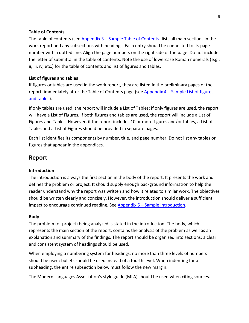#### <span id="page-5-0"></span>**Table of Contents**

The table of contents (see Appendix 3 – [Sample Table of Contents\)](#page-12-0) lists all main sections in the work report and any subsections with headings. Each entry should be connected to its page number with a dotted line. Align the page numbers on the right side of the page. Do not include the letter of submittal in the table of contents. Note the use of lowercase Roman numerals (e.g., ii, iii, iv, etc.) for the table of contents and list of figures and tables.

#### <span id="page-5-1"></span>**List of figures and tables**

If figures or tables are used in the work report, they are listed in the preliminary pages of the report, immediately after the Table of Contents page (see Appendix 4 – [Sample List of figures](#page-13-0)  [and tables\)](#page-13-0).

If only tables are used, the report will include a List of Tables; if only figures are used, the report will have a List of Figures. If both figures and tables are used, the report will include a List of Figures and Tables. However, if the report includes 10 or more figures and/or tables, a List of Tables and a List of Figures should be provided in separate pages.

Each list identifies its components by number, title, and page number. Do not list any tables or figures that appear in the appendices.

#### <span id="page-5-2"></span>**Report**

#### <span id="page-5-3"></span>**Introduction**

The introduction is always the first section in the body of the report. It presents the work and defines the problem or project. It should supply enough background information to help the reader understand why the report was written and how it relates to similar work. The objectives should be written clearly and concisely. However, the introduction should deliver a sufficient impact to encourage continued reading. See Appendix 5 – [Sample Introduction.](#page-14-0)

#### <span id="page-5-4"></span>**Body**

The problem (or project) being analyzed is stated in the introduction. The body, which represents the main section of the report, contains the analysis of the problem as well as an explanation and summary of the findings. The report should be organized into sections; a clear and consistent system of headings should be used.

When employing a numbering system for headings, no more than three levels of numbers should be used: bullets should be used instead of a fourth level. When indenting for a subheading, the entire subsection below must follow the new margin.

The Modern Languages Association's style guide (MLA) should be used when citing sources.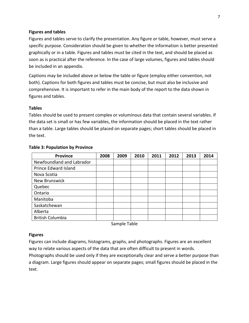#### <span id="page-6-0"></span>**Figures and tables**

Figures and tables serve to clarify the presentation. Any figure or table, however, must serve a specific purpose. Consideration should be given to whether the information is better presented graphically or in a table. Figures and tables must be cited in the text, and should be placed as soon as is practical after the reference. In the case of large volumes, figures and tables should be included in an appendix.

Captions may be included above or below the table or figure (employ either convention, not both). Captions for both figures and tables must be concise, but must also be inclusive and comprehensive. It is important to refer in the main body of the report to the data shown in figures and tables.

#### <span id="page-6-1"></span>**Tables**

Tables should be used to present complex or voluminous data that contain several variables. If the data set is small or has few variables, the information should be placed in the text rather than a table. Large tables should be placed on separate pages; short tables should be placed in the text.

| <b>Province</b>           | 2008 | 2009 | 2010 | 2011 | 2012 | 2013 | 2014 |
|---------------------------|------|------|------|------|------|------|------|
| Newfoundland and Labrador |      |      |      |      |      |      |      |
| Prince Edward Island      |      |      |      |      |      |      |      |
| Nova Scotia               |      |      |      |      |      |      |      |
| New Brunswick             |      |      |      |      |      |      |      |
| Quebec                    |      |      |      |      |      |      |      |
| Ontario                   |      |      |      |      |      |      |      |
| Manitoba                  |      |      |      |      |      |      |      |
| Saskatchewan              |      |      |      |      |      |      |      |
| Alberta                   |      |      |      |      |      |      |      |
| <b>British Columbia</b>   |      |      |      |      |      |      |      |

#### **Table 3: Population by Province**

Sample Table

#### <span id="page-6-2"></span>**Figures**

Figures can include diagrams, histograms, graphs, and photographs. Figures are an excellent way to relate various aspects of the data that are often difficult to present in words.

Photographs should be used only if they are exceptionally clear and serve a better purpose than a diagram. Large figures should appear on separate pages; small figures should be placed in the text.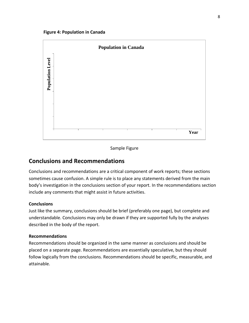

#### Sample Figure

#### <span id="page-7-0"></span>**Conclusions and Recommendations**

Conclusions and recommendations are a critical component of work reports; these sections sometimes cause confusion. A simple rule is to place any statements derived from the main body's investigation in the conclusions section of your report. In the recommendations section include any comments that might assist in future activities.

#### <span id="page-7-1"></span>**Conclusions**

Just like the summary, conclusions should be brief (preferably one page), but complete and understandable. Conclusions may only be drawn if they are supported fully by the analyses described in the body of the report.

#### <span id="page-7-2"></span>**Recommendations**

Recommendations should be organized in the same manner as conclusions and should be placed on a separate page. Recommendations are essentially speculative, but they should follow logically from the conclusions. Recommendations should be specific, measurable, and attainable.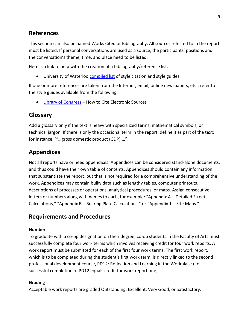### <span id="page-8-0"></span>**References**

This section can also be named Works Cited or Bibliography. All sources referred to in the report must be listed. If personal conversations are used as a source, the participants' positions and the conversation's theme, time, and place need to be listed.

Here is a link to help with the creation of a bibliography/reference list.

• University of Waterloo [compiled list](http://ereference.uwaterloo.ca/display.cfm?categoryID=15&catHeading=Citation%20/%20Style%20Guides) of style citation and style guides

If one or more references are taken from the Internet, email, online newspapers, etc., refer to the style guides available from the following:

• [Library of Congress](http://www.loc.gov/teachers/usingprimarysources/) – How to Cite Electronic Sources

# <span id="page-8-1"></span>**Glossary**

Add a glossary only if the text is heavy with specialized terms, mathematical symbols, or technical jargon. If there is only the occasional term in the report, define it as part of the text; for instance, `"…gross domestic product (GDP) …"

# <span id="page-8-2"></span>**Appendices**

Not all reports have or need appendices. Appendices can be considered stand-alone documents, and thus could have their own table of contents. Appendices should contain any information that substantiate the report, but that is not required for a comprehensive understanding of the work. Appendices may contain bulky data such as lengthy tables, computer printouts, descriptions of processes or operations, analytical procedures, or maps. Assign consecutive letters or numbers along with names to each, for example: "Appendix A – Detailed Street Calculations," "Appendix B – Bearing Plate Calculations," or "Appendix 1 – Site Maps."

### <span id="page-8-3"></span>**Requirements and Procedures**

#### <span id="page-8-4"></span>**Number**

To graduate with a co-op designation on their degree, co-op students in the Faculty of Arts must successfully complete four work terms which involves receiving credit for four work reports. A work report must be submitted for each of the first four work terms. The first work report, which is to be completed during the student's first work term, is directly linked to the second professional development course, PD12: Reflection and Learning in the Workplace (i.e., successful completion of PD12 equals credit for work report one).

#### <span id="page-8-5"></span>**Grading**

Acceptable work reports are graded Outstanding, Excellent, Very Good, or Satisfactory.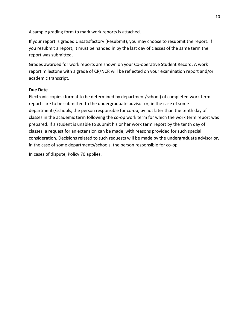A sample grading form to mark work reports is attached.

If your report is graded Unsatisfactory (Resubmit), you may choose to resubmit the report. If you resubmit a report, it must be handed in by the last day of classes of the same term the report was submitted.

Grades awarded for work reports are shown on your Co-operative Student Record. A work report milestone with a grade of CR/NCR will be reflected on your examination report and/or academic transcript.

#### <span id="page-9-0"></span>**Due Date**

Electronic copies (format to be determined by department/school) of completed work term reports are to be submitted to the undergraduate advisor or, in the case of some departments/schools, the person responsible for co-op, by not later than the tenth day of classes in the academic term following the co-op work term for which the work term report was prepared. If a student is unable to submit his or her work term report by the tenth day of classes, a request for an extension can be made, with reasons provided for such special consideration. Decisions related to such requests will be made by the undergraduate advisor or, in the case of some departments/schools, the person responsible for co-op.

In cases of dispute, Policy 70 applies.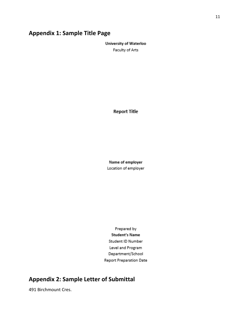# <span id="page-10-0"></span>**Appendix 1: Sample Title Page**

University of Waterloo Faculty of Arts

**Report Title** 

Name of employer Location of employer

Prepared by **Student's Name** Student ID Number Level and Program Department/School **Report Preparation Date** 

# <span id="page-10-1"></span>**Appendix 2: Sample Letter of Submittal**

491 Birchmount Cres.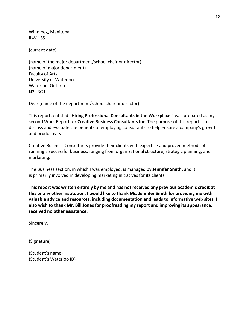Winnipeg, Manitoba R4V 1S5

(current date)

(name of the major department/school chair or director) (name of major department) Faculty of Arts University of Waterloo Waterloo, Ontario N2L 3G1

Dear (name of the department/school chair or director):

This report, entitled "**Hiring Professional Consultants in the Workplace**," was prepared as my second Work Report for **Creative Business Consultants Inc**. The purpose of this report is to discuss and evaluate the benefits of employing consultants to help ensure a company's growth and productivity.

Creative Business Consultants provide their clients with expertise and proven methods of running a successful business, ranging from organizational structure, strategic planning, and marketing.

The Business section, in which I was employed, is managed by **Jennifer Smith,** and it is primarily involved in developing marketing initiatives for its clients.

**This report was written entirely by me and has not received any previous academic credit at this or any other institution. I would like to thank Ms. Jennifer Smith for providing me with valuable advice and resources, including documentation and leads to informative web sites. I also wish to thank Mr. Bill Jones for proofreading my report and improving its appearance. I received no other assistance.**

Sincerely,

(Signature)

(Student's name) (Student's Waterloo ID)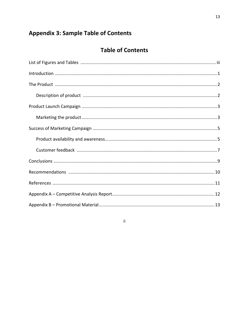# <span id="page-12-0"></span>**Appendix 3: Sample Table of Contents**

# **Table of Contents**

 $\overline{\textbf{H}}$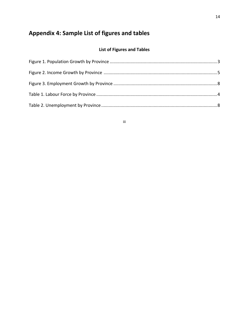# <span id="page-13-0"></span>**Appendix 4: Sample List of figures and tables**

### **List of Figures and Tables**

iii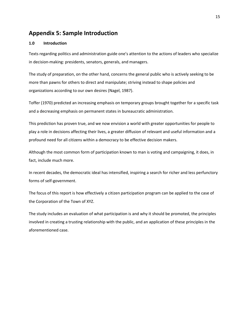# <span id="page-14-0"></span>**Appendix 5: Sample Introduction**

#### **1.0 Introduction**

Texts regarding politics and administration guide one's attention to the actions of leaders who specialize in decision-making: presidents, senators, generals, and managers.

The study of preparation, on the other hand, concerns the general public who is actively seeking to be more than pawns for others to direct and manipulate; striving instead to shape policies and organizations according to our own desires (Nagel, 1987).

Toffer (1970) predicted an increasing emphasis on temporary groups brought together for a specific task and a decreasing emphasis on permanent states in bureaucratic administration.

This prediction has proven true, and we now envision a world with greater opportunities for people to play a role in decisions affecting their lives, a greater diffusion of relevant and useful information and a profound need for all citizens within a democracy to be effective decision makers.

Although the most common form of participation known to man is voting and campaigning, it does, in fact, include much more.

In recent decades, the democratic ideal has intensified, inspiring a search for richer and less perfunctory forms of self-government.

The focus of this report is how effectively a citizen participation program can be applied to the case of the Corporation of the Town of XYZ.

The study includes an evaluation of what participation is and why it should be promoted, the principles involved in creating a trusting relationship with the public, and an application of these principles in the aforementioned case.